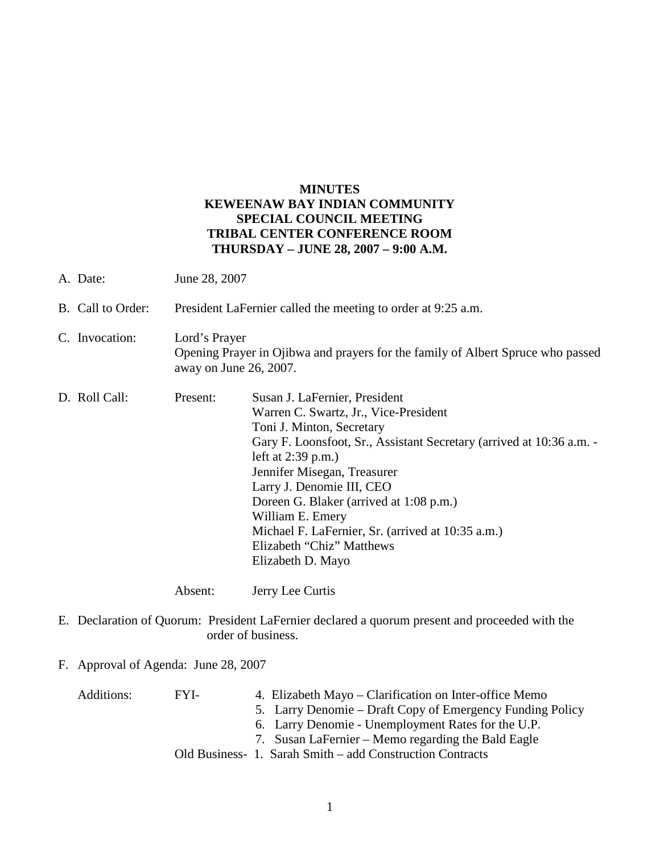## **MINUTES KEWEENAW BAY INDIAN COMMUNITY SPECIAL COUNCIL MEETING TRIBAL CENTER CONFERENCE ROOM THURSDAY – JUNE 28, 2007 – 9:00 A.M.**

| A. Date:          | June 28, 2007                                                                                                              |                                                                                                                                                                                                                                                                                                                                                                                                                                       |
|-------------------|----------------------------------------------------------------------------------------------------------------------------|---------------------------------------------------------------------------------------------------------------------------------------------------------------------------------------------------------------------------------------------------------------------------------------------------------------------------------------------------------------------------------------------------------------------------------------|
| B. Call to Order: | President LaFernier called the meeting to order at 9:25 a.m.                                                               |                                                                                                                                                                                                                                                                                                                                                                                                                                       |
| C. Invocation:    | Lord's Prayer<br>Opening Prayer in Ojibwa and prayers for the family of Albert Spruce who passed<br>away on June 26, 2007. |                                                                                                                                                                                                                                                                                                                                                                                                                                       |
| D. Roll Call:     | Present:                                                                                                                   | Susan J. LaFernier, President<br>Warren C. Swartz, Jr., Vice-President<br>Toni J. Minton, Secretary<br>Gary F. Loonsfoot, Sr., Assistant Secretary (arrived at 10:36 a.m. -<br>left at $2:39$ p.m.)<br>Jennifer Misegan, Treasurer<br>Larry J. Denomie III, CEO<br>Doreen G. Blaker (arrived at 1:08 p.m.)<br>William E. Emery<br>Michael F. LaFernier, Sr. (arrived at 10:35 a.m.)<br>Elizabeth "Chiz" Matthews<br>Elizabeth D. Mayo |
|                   | Absent:                                                                                                                    | Jerry Lee Curtis                                                                                                                                                                                                                                                                                                                                                                                                                      |

E. Declaration of Quorum: President LaFernier declared a quorum present and proceeded with the order of business.

## F. Approval of Agenda: June 28, 2007

| Additions: | FYI- | 4. Elizabeth Mayo – Clarification on Inter-office Memo    |
|------------|------|-----------------------------------------------------------|
|            |      | 5. Larry Denomie – Draft Copy of Emergency Funding Policy |
|            |      | 6. Larry Denomie - Unemployment Rates for the U.P.        |
|            |      | 7. Susan LaFernier – Memo regarding the Bald Eagle        |
|            |      | Old Business- 1. Sarah Smith – add Construction Contracts |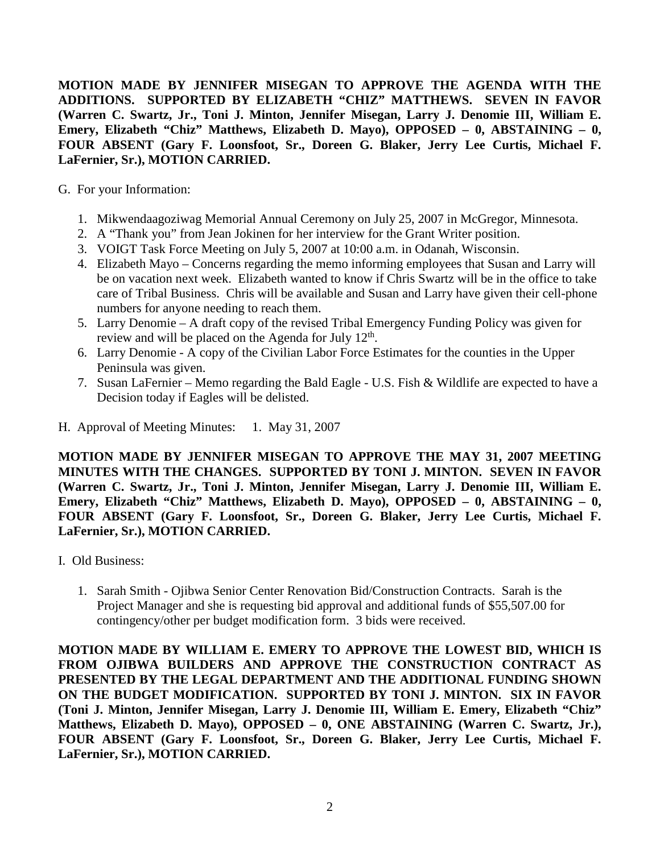**MOTION MADE BY JENNIFER MISEGAN TO APPROVE THE AGENDA WITH THE ADDITIONS. SUPPORTED BY ELIZABETH "CHIZ" MATTHEWS. SEVEN IN FAVOR (Warren C. Swartz, Jr., Toni J. Minton, Jennifer Misegan, Larry J. Denomie III, William E. Emery, Elizabeth "Chiz" Matthews, Elizabeth D. Mayo), OPPOSED – 0, ABSTAINING – 0, FOUR ABSENT (Gary F. Loonsfoot, Sr., Doreen G. Blaker, Jerry Lee Curtis, Michael F. LaFernier, Sr.), MOTION CARRIED.**

- G. For your Information:
	- 1. Mikwendaagoziwag Memorial Annual Ceremony on July 25, 2007 in McGregor, Minnesota.
	- 2. A "Thank you" from Jean Jokinen for her interview for the Grant Writer position.
	- 3. VOIGT Task Force Meeting on July 5, 2007 at 10:00 a.m. in Odanah, Wisconsin.
	- 4. Elizabeth Mayo Concerns regarding the memo informing employees that Susan and Larry will be on vacation next week. Elizabeth wanted to know if Chris Swartz will be in the office to take care of Tribal Business. Chris will be available and Susan and Larry have given their cell-phone numbers for anyone needing to reach them.
	- 5. Larry Denomie A draft copy of the revised Tribal Emergency Funding Policy was given for review and will be placed on the Agenda for July  $12<sup>th</sup>$ .
	- 6. Larry Denomie A copy of the Civilian Labor Force Estimates for the counties in the Upper Peninsula was given.
	- 7. Susan LaFernier Memo regarding the Bald Eagle U.S. Fish & Wildlife are expected to have a Decision today if Eagles will be delisted.
- H. Approval of Meeting Minutes: 1. May 31, 2007

**MOTION MADE BY JENNIFER MISEGAN TO APPROVE THE MAY 31, 2007 MEETING MINUTES WITH THE CHANGES. SUPPORTED BY TONI J. MINTON. SEVEN IN FAVOR (Warren C. Swartz, Jr., Toni J. Minton, Jennifer Misegan, Larry J. Denomie III, William E. Emery, Elizabeth "Chiz" Matthews, Elizabeth D. Mayo), OPPOSED – 0, ABSTAINING – 0, FOUR ABSENT (Gary F. Loonsfoot, Sr., Doreen G. Blaker, Jerry Lee Curtis, Michael F. LaFernier, Sr.), MOTION CARRIED.**

- I. Old Business:
	- 1. Sarah Smith Ojibwa Senior Center Renovation Bid/Construction Contracts. Sarah is the Project Manager and she is requesting bid approval and additional funds of \$55,507.00 for contingency/other per budget modification form. 3 bids were received.

**MOTION MADE BY WILLIAM E. EMERY TO APPROVE THE LOWEST BID, WHICH IS FROM OJIBWA BUILDERS AND APPROVE THE CONSTRUCTION CONTRACT AS PRESENTED BY THE LEGAL DEPARTMENT AND THE ADDITIONAL FUNDING SHOWN ON THE BUDGET MODIFICATION. SUPPORTED BY TONI J. MINTON. SIX IN FAVOR (Toni J. Minton, Jennifer Misegan, Larry J. Denomie III, William E. Emery, Elizabeth "Chiz" Matthews, Elizabeth D. Mayo), OPPOSED – 0, ONE ABSTAINING (Warren C. Swartz, Jr.), FOUR ABSENT (Gary F. Loonsfoot, Sr., Doreen G. Blaker, Jerry Lee Curtis, Michael F. LaFernier, Sr.), MOTION CARRIED.**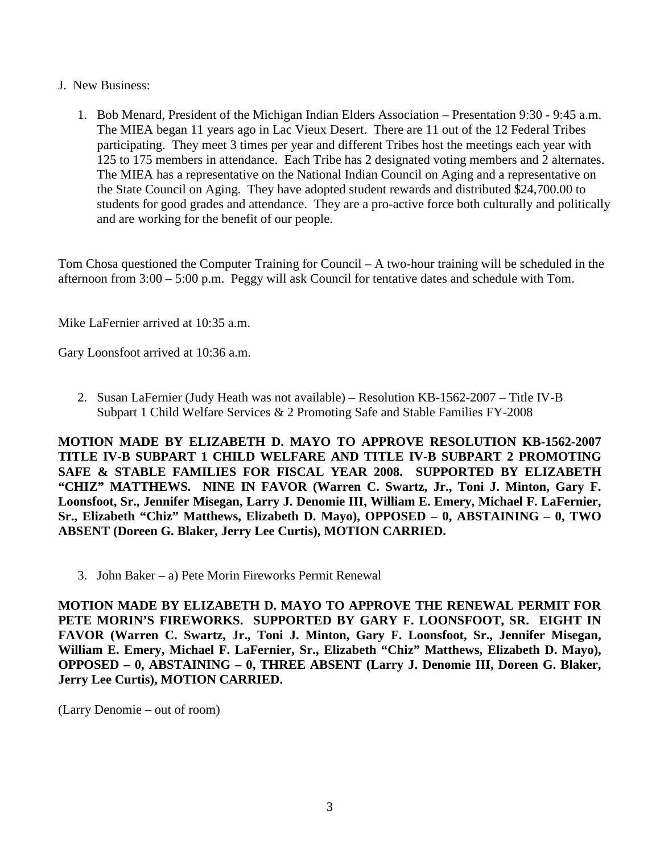- J. New Business:
	- 1. Bob Menard, President of the Michigan Indian Elders Association Presentation 9:30 9:45 a.m. The MIEA began 11 years ago in Lac Vieux Desert. There are 11 out of the 12 Federal Tribes participating. They meet 3 times per year and different Tribes host the meetings each year with 125 to 175 members in attendance. Each Tribe has 2 designated voting members and 2 alternates. The MIEA has a representative on the National Indian Council on Aging and a representative on the State Council on Aging. They have adopted student rewards and distributed \$24,700.00 to students for good grades and attendance. They are a pro-active force both culturally and politically and are working for the benefit of our people.

Tom Chosa questioned the Computer Training for Council – A two-hour training will be scheduled in the afternoon from 3:00 – 5:00 p.m. Peggy will ask Council for tentative dates and schedule with Tom.

Mike LaFernier arrived at 10:35 a.m.

Gary Loonsfoot arrived at 10:36 a.m.

2. Susan LaFernier (Judy Heath was not available) – Resolution KB-1562-2007 – Title IV-B Subpart 1 Child Welfare Services & 2 Promoting Safe and Stable Families FY-2008

**MOTION MADE BY ELIZABETH D. MAYO TO APPROVE RESOLUTION KB-1562-2007 TITLE IV-B SUBPART 1 CHILD WELFARE AND TITLE IV-B SUBPART 2 PROMOTING SAFE & STABLE FAMILIES FOR FISCAL YEAR 2008. SUPPORTED BY ELIZABETH "CHIZ" MATTHEWS. NINE IN FAVOR (Warren C. Swartz, Jr., Toni J. Minton, Gary F. Loonsfoot, Sr., Jennifer Misegan, Larry J. Denomie III, William E. Emery, Michael F. LaFernier, Sr., Elizabeth "Chiz" Matthews, Elizabeth D. Mayo), OPPOSED – 0, ABSTAINING – 0, TWO ABSENT (Doreen G. Blaker, Jerry Lee Curtis), MOTION CARRIED.**

3. John Baker – a) Pete Morin Fireworks Permit Renewal

**MOTION MADE BY ELIZABETH D. MAYO TO APPROVE THE RENEWAL PERMIT FOR PETE MORIN'S FIREWORKS. SUPPORTED BY GARY F. LOONSFOOT, SR. EIGHT IN FAVOR (Warren C. Swartz, Jr., Toni J. Minton, Gary F. Loonsfoot, Sr., Jennifer Misegan, William E. Emery, Michael F. LaFernier, Sr., Elizabeth "Chiz" Matthews, Elizabeth D. Mayo), OPPOSED – 0, ABSTAINING – 0, THREE ABSENT (Larry J. Denomie III, Doreen G. Blaker, Jerry Lee Curtis), MOTION CARRIED.**

(Larry Denomie – out of room)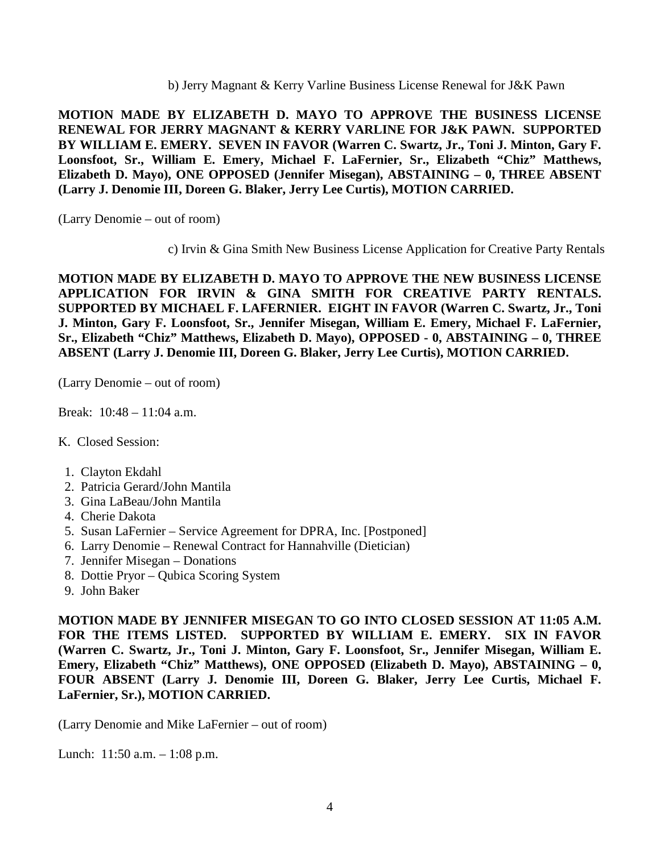b) Jerry Magnant & Kerry Varline Business License Renewal for J&K Pawn

**MOTION MADE BY ELIZABETH D. MAYO TO APPROVE THE BUSINESS LICENSE RENEWAL FOR JERRY MAGNANT & KERRY VARLINE FOR J&K PAWN. SUPPORTED BY WILLIAM E. EMERY. SEVEN IN FAVOR (Warren C. Swartz, Jr., Toni J. Minton, Gary F. Loonsfoot, Sr., William E. Emery, Michael F. LaFernier, Sr., Elizabeth "Chiz" Matthews, Elizabeth D. Mayo), ONE OPPOSED (Jennifer Misegan), ABSTAINING – 0, THREE ABSENT (Larry J. Denomie III, Doreen G. Blaker, Jerry Lee Curtis), MOTION CARRIED.**

(Larry Denomie – out of room)

c) Irvin & Gina Smith New Business License Application for Creative Party Rentals

**MOTION MADE BY ELIZABETH D. MAYO TO APPROVE THE NEW BUSINESS LICENSE APPLICATION FOR IRVIN & GINA SMITH FOR CREATIVE PARTY RENTALS. SUPPORTED BY MICHAEL F. LAFERNIER. EIGHT IN FAVOR (Warren C. Swartz, Jr., Toni J. Minton, Gary F. Loonsfoot, Sr., Jennifer Misegan, William E. Emery, Michael F. LaFernier, Sr., Elizabeth "Chiz" Matthews, Elizabeth D. Mayo), OPPOSED - 0, ABSTAINING – 0, THREE ABSENT (Larry J. Denomie III, Doreen G. Blaker, Jerry Lee Curtis), MOTION CARRIED.**

(Larry Denomie – out of room)

Break: 10:48 – 11:04 a.m.

- K. Closed Session:
	- 1. Clayton Ekdahl
- 2. Patricia Gerard/John Mantila
- 3. Gina LaBeau/John Mantila
- 4. Cherie Dakota
- 5. Susan LaFernier Service Agreement for DPRA, Inc. [Postponed]
- 6. Larry Denomie Renewal Contract for Hannahville (Dietician)
- 7. Jennifer Misegan Donations
- 8. Dottie Pryor Qubica Scoring System
- 9. John Baker

**MOTION MADE BY JENNIFER MISEGAN TO GO INTO CLOSED SESSION AT 11:05 A.M. FOR THE ITEMS LISTED. SUPPORTED BY WILLIAM E. EMERY. SIX IN FAVOR (Warren C. Swartz, Jr., Toni J. Minton, Gary F. Loonsfoot, Sr., Jennifer Misegan, William E. Emery, Elizabeth "Chiz" Matthews), ONE OPPOSED (Elizabeth D. Mayo), ABSTAINING – 0, FOUR ABSENT (Larry J. Denomie III, Doreen G. Blaker, Jerry Lee Curtis, Michael F. LaFernier, Sr.), MOTION CARRIED.**

(Larry Denomie and Mike LaFernier – out of room)

Lunch: 11:50 a.m. – 1:08 p.m.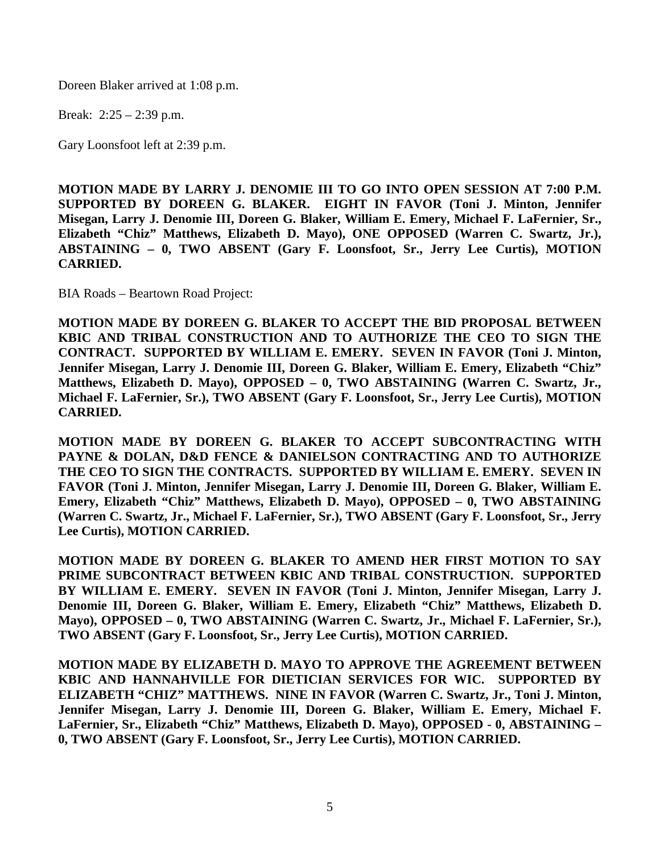Doreen Blaker arrived at 1:08 p.m.

Break: 2:25 – 2:39 p.m.

Gary Loonsfoot left at 2:39 p.m.

**MOTION MADE BY LARRY J. DENOMIE III TO GO INTO OPEN SESSION AT 7:00 P.M. SUPPORTED BY DOREEN G. BLAKER. EIGHT IN FAVOR (Toni J. Minton, Jennifer Misegan, Larry J. Denomie III, Doreen G. Blaker, William E. Emery, Michael F. LaFernier, Sr., Elizabeth "Chiz" Matthews, Elizabeth D. Mayo), ONE OPPOSED (Warren C. Swartz, Jr.), ABSTAINING – 0, TWO ABSENT (Gary F. Loonsfoot, Sr., Jerry Lee Curtis), MOTION CARRIED.**

BIA Roads – Beartown Road Project:

**MOTION MADE BY DOREEN G. BLAKER TO ACCEPT THE BID PROPOSAL BETWEEN KBIC AND TRIBAL CONSTRUCTION AND TO AUTHORIZE THE CEO TO SIGN THE CONTRACT. SUPPORTED BY WILLIAM E. EMERY. SEVEN IN FAVOR (Toni J. Minton, Jennifer Misegan, Larry J. Denomie III, Doreen G. Blaker, William E. Emery, Elizabeth "Chiz" Matthews, Elizabeth D. Mayo), OPPOSED – 0, TWO ABSTAINING (Warren C. Swartz, Jr., Michael F. LaFernier, Sr.), TWO ABSENT (Gary F. Loonsfoot, Sr., Jerry Lee Curtis), MOTION CARRIED.**

**MOTION MADE BY DOREEN G. BLAKER TO ACCEPT SUBCONTRACTING WITH PAYNE & DOLAN, D&D FENCE & DANIELSON CONTRACTING AND TO AUTHORIZE THE CEO TO SIGN THE CONTRACTS. SUPPORTED BY WILLIAM E. EMERY. SEVEN IN FAVOR (Toni J. Minton, Jennifer Misegan, Larry J. Denomie III, Doreen G. Blaker, William E. Emery, Elizabeth "Chiz" Matthews, Elizabeth D. Mayo), OPPOSED – 0, TWO ABSTAINING (Warren C. Swartz, Jr., Michael F. LaFernier, Sr.), TWO ABSENT (Gary F. Loonsfoot, Sr., Jerry Lee Curtis), MOTION CARRIED.**

**MOTION MADE BY DOREEN G. BLAKER TO AMEND HER FIRST MOTION TO SAY PRIME SUBCONTRACT BETWEEN KBIC AND TRIBAL CONSTRUCTION. SUPPORTED BY WILLIAM E. EMERY. SEVEN IN FAVOR (Toni J. Minton, Jennifer Misegan, Larry J. Denomie III, Doreen G. Blaker, William E. Emery, Elizabeth "Chiz" Matthews, Elizabeth D. Mayo), OPPOSED – 0, TWO ABSTAINING (Warren C. Swartz, Jr., Michael F. LaFernier, Sr.), TWO ABSENT (Gary F. Loonsfoot, Sr., Jerry Lee Curtis), MOTION CARRIED.**

**MOTION MADE BY ELIZABETH D. MAYO TO APPROVE THE AGREEMENT BETWEEN KBIC AND HANNAHVILLE FOR DIETICIAN SERVICES FOR WIC. SUPPORTED BY ELIZABETH "CHIZ" MATTHEWS. NINE IN FAVOR (Warren C. Swartz, Jr., Toni J. Minton, Jennifer Misegan, Larry J. Denomie III, Doreen G. Blaker, William E. Emery, Michael F. LaFernier, Sr., Elizabeth "Chiz" Matthews, Elizabeth D. Mayo), OPPOSED - 0, ABSTAINING – 0, TWO ABSENT (Gary F. Loonsfoot, Sr., Jerry Lee Curtis), MOTION CARRIED.**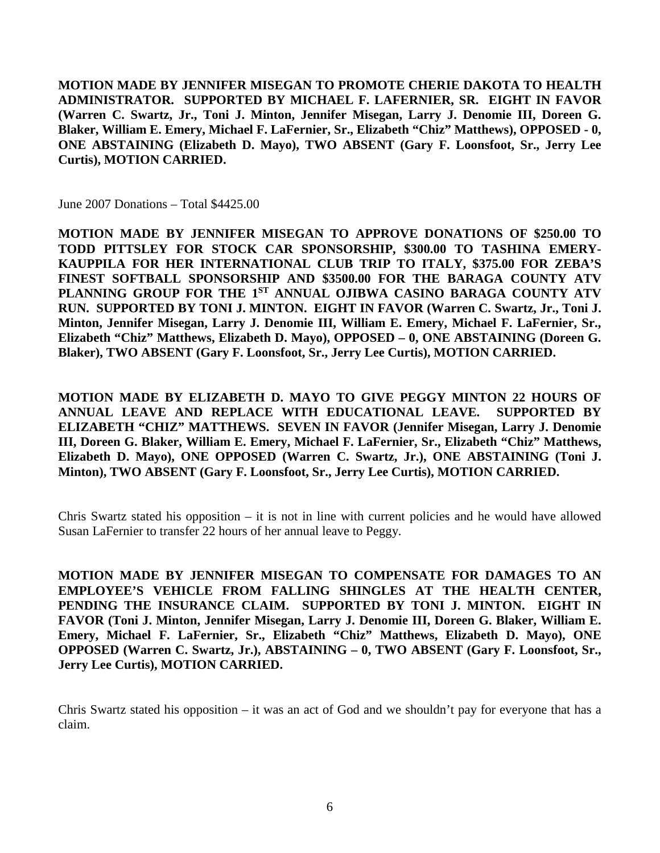**MOTION MADE BY JENNIFER MISEGAN TO PROMOTE CHERIE DAKOTA TO HEALTH ADMINISTRATOR. SUPPORTED BY MICHAEL F. LAFERNIER, SR. EIGHT IN FAVOR (Warren C. Swartz, Jr., Toni J. Minton, Jennifer Misegan, Larry J. Denomie III, Doreen G. Blaker, William E. Emery, Michael F. LaFernier, Sr., Elizabeth "Chiz" Matthews), OPPOSED - 0, ONE ABSTAINING (Elizabeth D. Mayo), TWO ABSENT (Gary F. Loonsfoot, Sr., Jerry Lee Curtis), MOTION CARRIED.**

June 2007 Donations – Total \$4425.00

**MOTION MADE BY JENNIFER MISEGAN TO APPROVE DONATIONS OF \$250.00 TO TODD PITTSLEY FOR STOCK CAR SPONSORSHIP, \$300.00 TO TASHINA EMERY-KAUPPILA FOR HER INTERNATIONAL CLUB TRIP TO ITALY, \$375.00 FOR ZEBA'S FINEST SOFTBALL SPONSORSHIP AND \$3500.00 FOR THE BARAGA COUNTY ATV PLANNING GROUP FOR THE 1ST ANNUAL OJIBWA CASINO BARAGA COUNTY ATV RUN. SUPPORTED BY TONI J. MINTON. EIGHT IN FAVOR (Warren C. Swartz, Jr., Toni J. Minton, Jennifer Misegan, Larry J. Denomie III, William E. Emery, Michael F. LaFernier, Sr., Elizabeth "Chiz" Matthews, Elizabeth D. Mayo), OPPOSED – 0, ONE ABSTAINING (Doreen G. Blaker), TWO ABSENT (Gary F. Loonsfoot, Sr., Jerry Lee Curtis), MOTION CARRIED.**

**MOTION MADE BY ELIZABETH D. MAYO TO GIVE PEGGY MINTON 22 HOURS OF ANNUAL LEAVE AND REPLACE WITH EDUCATIONAL LEAVE. SUPPORTED BY ELIZABETH "CHIZ" MATTHEWS. SEVEN IN FAVOR (Jennifer Misegan, Larry J. Denomie III, Doreen G. Blaker, William E. Emery, Michael F. LaFernier, Sr., Elizabeth "Chiz" Matthews, Elizabeth D. Mayo), ONE OPPOSED (Warren C. Swartz, Jr.), ONE ABSTAINING (Toni J. Minton), TWO ABSENT (Gary F. Loonsfoot, Sr., Jerry Lee Curtis), MOTION CARRIED.**

Chris Swartz stated his opposition – it is not in line with current policies and he would have allowed Susan LaFernier to transfer 22 hours of her annual leave to Peggy.

**MOTION MADE BY JENNIFER MISEGAN TO COMPENSATE FOR DAMAGES TO AN EMPLOYEE'S VEHICLE FROM FALLING SHINGLES AT THE HEALTH CENTER, PENDING THE INSURANCE CLAIM. SUPPORTED BY TONI J. MINTON. EIGHT IN FAVOR (Toni J. Minton, Jennifer Misegan, Larry J. Denomie III, Doreen G. Blaker, William E. Emery, Michael F. LaFernier, Sr., Elizabeth "Chiz" Matthews, Elizabeth D. Mayo), ONE OPPOSED (Warren C. Swartz, Jr.), ABSTAINING – 0, TWO ABSENT (Gary F. Loonsfoot, Sr., Jerry Lee Curtis), MOTION CARRIED.**

Chris Swartz stated his opposition – it was an act of God and we shouldn't pay for everyone that has a claim.